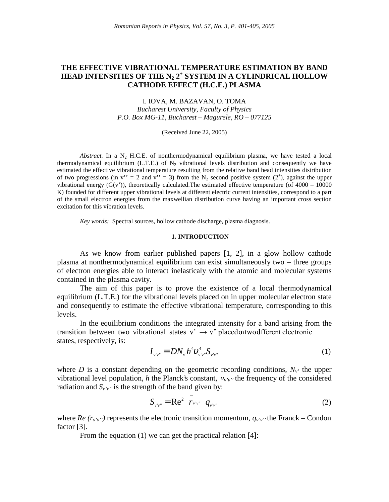# **THE EFFECTIVE VIBRATIONAL TEMPERATURE ESTIMATION BY BAND HEAD INTENSITIES OF THE N2 2<sup>+</sup> SYSTEM IN A CYLINDRICAL HOLLOW CATHODE EFFECT (H.C.E.) PLASMA**

I. IOVA, M. BAZAVAN, O. TOMA *Bucharest University, Faculty of Physics P.O. Box MG-11, Bucharest – Magurele, RO – 077125*

(Received June 22, 2005)

*Abstract.* In a  $N_2$  H.C.E. of nonthermodynamical equilibrium plasma, we have tested a local thermodynamical equilibrium (L.T.E.) of  $N_2$  vibrational levels distribution and consequently we have estimated the effective vibrational temperature resulting from the relative band head intensities distribution of two progressions (in v'' = 2 and v'' = 3) from the N<sub>2</sub> second positive system (2<sup>+</sup>), against the upper vibrational energy  $(G(v'))$ , theoretically calculated. The estimated effective temperature (of 4000 – 10000 K) founded for different upper vibrational levels at different electric current intensities, correspond to a part of the small electron energies from the maxwellian distribution curve having an important cross section excitation for this vibration levels.

*Key words:* Spectral sources, hollow cathode discharge, plasma diagnosis.

#### **1. INTRODUCTION**

As we know from earlier published papers [1, 2], in a glow hollow cathode plasma at nonthermodynamical equilibrium can exist simultaneously two – three groups of electron energies able to interact inelasticaly with the atomic and molecular systems contained in the plasma cavity.

The aim of this paper is to prove the existence of a local thermodynamical equilibrium (L.T.E.) for the vibrational levels placed on in upper molecular electron state and consequently to estimate the effective vibrational temperature, corresponding to this levels.

In the equilibrium conditions the integrated intensity for a band arising from the transition between two vibrational states  $v' \rightarrow v''$  placed on two different electronic states, respectively, is:

$$
I_{\nu'\nu''} = DN_{\nu}h^4 \mathcal{v}_{\nu'\nu''}^4 \mathcal{S}_{\nu'\nu''}
$$
 (1)

where *D* is a constant depending on the geometric recording conditions,  $N_v$  the upper vibrational level population, *h* the Planck's constant,  $v_{v'v'}$  the frequency of the considered radiation and  $S_{v'v''}$  is the strength of the band given by:

$$
S_{\nu'\nu''} = \text{Re}^2 \left( \overline{r}_{\nu'\nu''} \right) q_{\nu'\nu''}
$$
 (2)

where *Re*  $(r_v, v_v)$  represents the electronic transition momentum,  $q_v, v_v$  the Franck – Condon factor [3].

From the equation (1) we can get the practical relation [4]: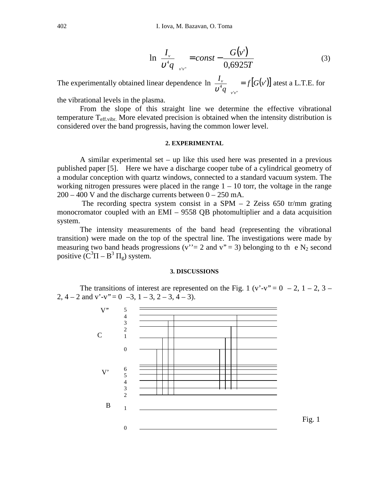$$
\ln\left(\frac{I_{\nu}}{\nu^4 q}\right)_{\!\!{\scriptscriptstyle{V\!V\!}^{\scriptscriptstyle{V}}}} = const - \frac{G(\nu^{\prime})}{0,6925T} \tag{3}
$$

The experimentally obtained linear dependence  $\ln \left( \frac{I_v}{v^4 q} \right)_{v \text{ } v \text{ }} = f[G(v)]$  $\frac{v}{4a}$  =  $f[G(v)]$ *q I*  $\int \frac{v}{q} \int_{v'v''}$  $\bigg)$  $\overline{\phantom{a}}$  $\mathsf I$ l ſ  $\frac{v}{v^4 g}$  =  $f[G(v')]$  atest a L.T.E. for

the vibrational levels in the plasma.

From the slope of this straight line we determine the effective vibrational temperature  $T_{\text{eff,vibr.}}$  More elevated precision is obtained when the intensity distribution is considered over the band progressis, having the common lower level.

## **2. EXPERIMENTAL**

A similar experimental set – up like this used here was presented in a previous published paper [5]. Here we have a discharge cooper tube of a cylindrical geometry of a modular conception with quartz windows, connected to a standard vacuum system. The working nitrogen pressures were placed in the range  $1 - 10$  torr, the voltage in the range  $200 - 400$  V and the discharge currents between  $0 - 250$  mA.

The recording spectra system consist in a SPM  $-$  2 Zeiss 650 tr/mm grating monocromator coupled with an EMI – 9558 QB photomultiplier and a data acquisition system.

The intensity measurements of the band head (representing the vibrational transition) were made on the top of the spectral line. The investigations were made by measuring two band heads progressions ( $v' = 2$  and  $v'' = 3$ ) belonging to the N<sub>2</sub> second positive  $(C^{3}\Pi - B^{3} \Pi_{g})$  system.

## **3. DISCUSSIONS**

The transitions of interest are represented on the Fig. 1 (v'-v" =  $0 - 2$ , 1 – 2, 3 – 2,  $4 - 2$  and  $v'-v'' = 0$   $-3$ ,  $1 - 3$ ,  $2 - 3$ ,  $4 - 3$ ).

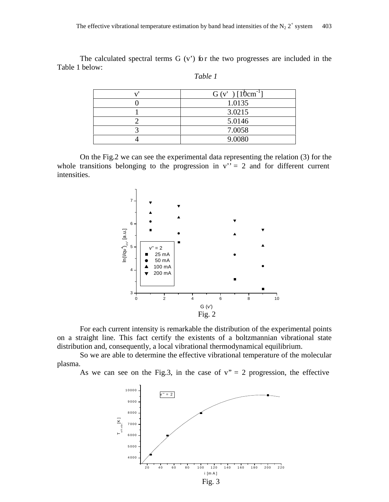The calculated spectral terms  $G(v')$  for the two progresses are included in the Table 1 below:

| $G(v')$ [10cm <sup>-1</sup> ] |
|-------------------------------|
| 1.0135                        |
| 3.0215                        |
| 5.0146                        |
| 7.0058                        |
| 9.0080                        |

| able |  |
|------|--|
|------|--|

On the Fig.2 we can see the experimental data representing the relation (3) for the whole transitions belonging to the progression in  $v'' = 2$  and for different current intensities.



For each current intensity is remarkable the distribution of the experimental points on a straight line. This fact certify the existents of a boltzmannian vibrational state distribution and, consequently, a local vibrational thermodynamical equilibrium.

So we are able to determine the effective vibrational temperature of the molecular plasma.

As we can see on the Fig.3, in the case of  $v'' = 2$  progression, the effective

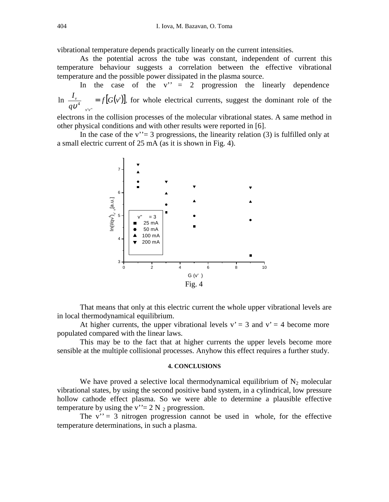vibrational temperature depends practically linearly on the current intensities.

As the potential across the tube was constant, independent of current this temperature behaviour suggests a correlation between the effective vibrational temperature and the possible power dissipated in the plasma source.

In the case of the  $v'' = 2$  progression the linearly dependence  $\ln \left| \frac{I_v}{\sigma v^4} \right|$  =  $f[G(v')]$ , for whole electrical currents, suggest the dominant role of the ''  $q\mathfrak{v}^4$  $\frac{I_{\nu}}{4}$ *v v*  $\bigg)$  $\mathsf{I}$ l ſ υ

electrons in the collision processes of the molecular vibrational states. A same method in other physical conditions and with other results were reported in [6].

In the case of the v'' = 3 progressions, the linearity relation (3) is fulfilled only at a small electric current of 25 mA (as it is shown in Fig. 4).



That means that only at this electric current the whole upper vibrational levels are in local thermodynamical equilibrium.

At higher currents, the upper vibrational levels  $v' = 3$  and  $v' = 4$  become more populated compared with the linear laws.

This may be to the fact that at higher currents the upper levels become more sensible at the multiple collisional processes. Anyhow this effect requires a further study.

#### **4. CONCLUSIONS**

We have proved a selective local thermodynamical equilibrium of  $N_2$  molecular vibrational states, by using the second positive band system, in a cylindrical, low pressure hollow cathode effect plasma. So we were able to determine a plausible effective temperature by using the  $v' = 2 N_2$  progression.

The  $v' = 3$  nitrogen progression cannot be used in whole, for the effective temperature determinations, in such a plasma.